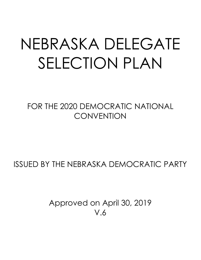# NEBRASKA DELEGATE SELECTION PLAN

FOR THE 2020 DEMOCRATIC NATIONAL **CONVENTION** 

ISSUED BY THE NEBRASKA DEMOCRATIC PARTY

Approved on April 30, 2019 V.6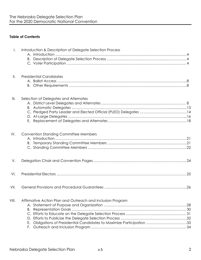## **Table of Contents**

| $\mathsf{I}$ . | Introduction & Description of Delegate Selection Process                  |  |
|----------------|---------------------------------------------------------------------------|--|
|                |                                                                           |  |
|                |                                                                           |  |
| $\parallel$ .  | <b>Presidential Candidates</b>                                            |  |
|                |                                                                           |  |
| III.           | Selection of Delegates and Alternates                                     |  |
|                |                                                                           |  |
|                |                                                                           |  |
|                |                                                                           |  |
|                |                                                                           |  |
| IV.            | <b>Convention Standing Committee Members</b>                              |  |
|                |                                                                           |  |
|                |                                                                           |  |
|                |                                                                           |  |
| V.             |                                                                           |  |
| VI.            |                                                                           |  |
| VII.           |                                                                           |  |
| VIII.          | Affirmative Action Plan and Outreach and Inclusion Program                |  |
|                |                                                                           |  |
|                |                                                                           |  |
|                |                                                                           |  |
|                |                                                                           |  |
|                | Obligations of Presidential Candidates to Maximize Participation 33<br>Е. |  |
|                | F.                                                                        |  |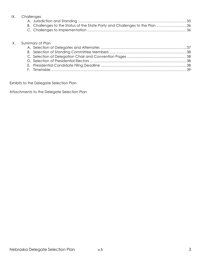| IX. Challenges                                                               |
|------------------------------------------------------------------------------|
|                                                                              |
| B. Challenges to the Status of the State Party and Challenges to the Plan 36 |
|                                                                              |

|  | X. Summary of Plan |  |
|--|--------------------|--|
|  |                    |  |
|  |                    |  |
|  |                    |  |
|  |                    |  |
|  |                    |  |
|  |                    |  |

Exhibits to the Delegate Selection Plan

Attachments to the Delegate Selection Plan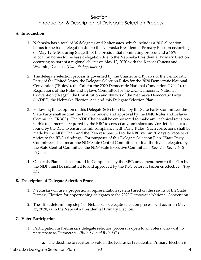# Section I Introduction & Description of Delegate Selection Process

#### **A. Introduction**

- 1. Nebraska has a total of 36 delegates and 2 alternates, which includes a 20% allocation bonus to the base delegation due to the Nebraska Presidential Primary Election occurring on May 12, 2020 during Stage III of the presidential nominating process and a 15% allocation bonus to the base delegation due to the Nebraska Presidential Primary Election occurring as part of a regional cluster on May 12, 2020 with the Kansas Caucus and Wyoming Caucus. *(Call I & Appendix B)*
- 2. The delegate selection process is governed by the Charter and Bylaws of the Democratic Party of the United States, the Delegate Selection Rules for the 2020 Democratic National Convention ("Rules"), the Call for the 2020 Democratic National Convention ("Call"), the Regulations of the Rules and Bylaws Committee for the 2020 Democratic National Convention ("Regs"), the Constitution and Bylaws of the Nebraska Democratic Party ("NDP"), the Nebraska Election Act, and this Delegate Selection Plan.
- 3. Following the adoption of this Delegate Selection Plan by the State Party Committee, the State Party shall submit the Plan for review and approval by the DNC Rules and Bylaws Committee ("RBC"). The NDP Chair shall be empowered to make any technical revisions to this document as required by the RBC to correct any omissions and/or deficiencies as found by the RBC to ensure its full compliance with Party Rules. Such corrections shall be made by the NDP Chair and the Plan resubmitted to the RBC within 30 days or receipt of notice to the RBC's findings. For purposes of this Delegate Selection Plan, "State Party Committee" shall mean the NDP State Central Committee, or if authority is delegated by the State Central Committee, the NDP State Executive Committee. *(Reg. 2.5, Reg. 2.6, & Reg 2.7)*
- 4. Once this Plan has been found in Compliance by the RBC, any amendment to the Plan by the NDP must be submitted to and approved by the RBC before it becomes effective. *(Reg 2.9)*

#### **B. Description of Delegate Selection Process**

- 1. Nebraska will use a proportional representation system based on the results of the State Primary Election for apportioning delegates to the 2020 Democratic National Convention.
- 2. The "first determining step" of Nebraska's delegate selection process will occur on May 12, 2020, with the Nebraska Presidential Primary Election.

## **C. Voter Participation**

- 1. Participation in Nebraska's delegate selection process is open to all voters who wish to participate as Democrats. *(Rule 2.A and Rule 2.C.)*
	- a. The deadline to register to vote in the Nebraska Presidential Primary Election is: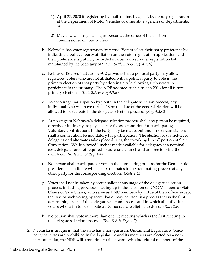- 1) April 27, 2020 if registering by mail, online, by agent, by deputy registrar, or at the Department of Motor Vehicles or other state agencies or departments; or
- 2) May 1, 2020, if registering in-person at the office of the election commissioner or county clerk.
- b. Nebraska has voter registration by party. Voters select their party preference by indicating a political party affiliation on the voter registration application, and their preference is publicly recorded in a centralized voter registration list maintained by the Secretary of State.*(Rule 2.A & Reg. 4.3.A)*
- c. Nebraska Revised Statute §32-912 provides that a political party may allow registered voters who are not affiliated with a political party to vote in the primary election of that party by adopting a rule allowing such voters to participate in the primary. The NDP adopted such a rule in 2016 for all future primary elections.*(Rule 2.A & Reg 4.3.B)*
- d. To encourage participation by youth in the delegate selection process, any individual who will have turned 18 by the date of the general election will be allowed to participate in the delegate selection process. *(Reg. 4.3.C)*
- e. At no stage of Nebraska's delegate selection process shall any person be required, directly or indirectly, to pay a cost or fee as a condition for participating. Voluntary contributions to the Party may be made, but under no circumstances shall a contribution be mandatory for participation. The election of district-level delegates and alternates takes place during the "working lunch" portion of State Convention. While a boxed lunch is made available for delegates at a nominal cost, delegates are not required to purchase a lunch and are free to bring their own food.*(Rule 2.D & Reg. 4.4)*
- f. No person shall participate or vote in the nominating process for the Democratic presidential candidate who also participates in the nominating process of any other party for the corresponding election. *(Rule 2.E)*
- g. Votes shall not be taken by secret ballot at any stage of the delegate selection process, including processes leading up to the selection of DNC Members or State Chairs or Vice Chairs, who serve as DNC members by virtue of their office, except that use of such voting by secret ballot may be used in a process that is the first determining stage of the delegate selection process and in which all individual voters who wish to participate as Democrats are eligible to do so. *(Rule 2.F)*
- h. No person shall vote in more than one (1) meeting which is the first meeting in the delegate selection process. *(Rule 3.E & Reg. 4.7)*
- 2. Nebraska is unique in that the state has a non-partisan, Unicameral Legislature. Since party caucuses are prohibited in the Legislature and its members are elected on a nonpartisan ballot, the NDP will, from time to time, work with individual members of the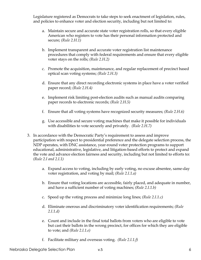Legislature registered as Democrats to take steps to seek enactment of legislation, rules, and policies to enhance voter and election security, including but not limited to:

- a. Maintain secure and accurate state voter registration rolls, so that every eligible American who registers to vote has their personal information protected and secure; *(Rule 2.H.1)*
- b. Implement transparent and accurate voter registration list maintenance procedures that comply with federal requirements and ensure that every eligible voter stays on the rolls; *(Rule 2.H.2)*
- c. Promote the acquisition, maintenance, and regular replacement of precinct based optical scan voting systems; *(Rule 2.H.3)*
- d. Ensure that any direct recording electronic systems in place have a voter verified paper record; *(Rule 2.H.4)*
- e. Implement risk limiting post-election audits such as manual audits comparing paper records to electronic records; *(Rule 2.H.5)*
- f. Ensure that all voting systems have recognized security measures; *(Rule 2.H.6)*
- g. Use accessible and secure voting machines that make it possible for individuals with disabilities to vote securely and privately. *(Rule 2.H.7)*
- 3. In accordance with the Democratic Party's requirement to assess and improve participation with respect to presidential preference and the delegate selection process, the NDP operates, with DNC assistance, year-round voter protection programs to support educational, administrative, legislative, and litigation-based efforts to protect and expand the vote and advance election fairness and security, including but not limited to efforts to**:** *(Rule 2.I and 2.I.1)*
	- a. Expand access to voting, including by early voting, no excuse absentee, same-day voter registration, and voting by mail; *(Rule 2.I.1.a)*
	- b. Ensure that voting locations are accessible, fairly placed, and adequate in number, and have a sufficient number of voting machines; *(Rule 2.I.1.b)*
	- c. Speed up the voting process and minimize long lines; *(Rule 2.I.1.c)*
	- d. Eliminate onerous and discriminatory voter identification requirements; *(Rule 2.I.1.d)*
	- e. Count and include in the final total ballots from voters who are eligible to vote but cast their ballots in the wrong precinct, for offices for which they are eligible to vote; and *(Rule 2.I.1.e)*
	- f. Facilitate military and overseas voting. *(Rule 2.I.1.f)*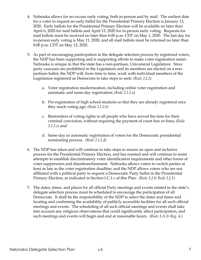- 4. Nebraska allows for no excuse early voting, both in-person and by mail. The earliest date for a voter to request an early ballot for the Presidential Primary Election is January 13, 2020. Early ballots for the Presidential Primary Election will be available no later than April 6, 2020 for mail ballots and April 13, 2020 for in-person early voting. Requests for mail ballots must be received no later than 6:00 p.m. CDT on May 1, 2020. The last day for in-person early voting is May 11, 2020, and all mail ballots must be returned no later than 8:00 p.m. CDT on May 12, 2020.
- 5. As part of encouraging participation in the delegate selection process by registered voters, the NDP has been supporting and is supporting efforts to make voter registration easier. Nebraska is unique in that the state has a non-partisan, Unicameral Legislature. Since party caucuses are prohibited in the Legislature and its members are elected on a nonpartisan ballot, the NDP will, from time to time, work with individual members of the Legislature registered as Democrats to take steps to seek: *(Rule 2.I.2)*
	- a. Voter registration modernization, including online voter registration and automatic and same-day registration; *(Rule 2.I.2.a)*
	- b. Pre-registration of high school students so that they are already registered once they reach voting age; *(Rule 2.I.2.b)*
	- c. Restoration of voting rights to all people who have served the time for their criminal conviction, without requiring the payment of court fees or fines; *(Rule 2.I.2.c)* and
	- d. Same-day or automatic registration of voters for the Democratic presidential nominating process. *(Rule 2.I.2.d)*
- 6. The NDP has taken and will continue to take steps to ensure an open and inclusive process for the Presidential Primary Election, and has resisted and will continue to resist attempts to establish discriminatory voter identification requirements and other forms of voter suppression and disenfranchisement. Nebraska allows voters to switch parties at least as late as the voter registration deadline, and the NDP allows voters who are not affiliated with a political party to request a Democratic Party ballot in the Presidential Primary Election, as indicated in Section I.C.1.c of this Plan.*(Rule 2.J & Rule 2.J.1)*
- 7. The dates, times, and places for all official Party meetings and events related to the state's delegate selection process must be scheduled to encourage the participation of all Democrats. It shall be the responsibility of the NDP to select the dates and times and locating and confirming the availability of publicly accessible facilities for all such official meetings and events. The scheduling of all such official meetings and events shall take into account any religious observations that could significantly affect participation, and such meetings and events will begin and end at reasonable hours. *(Rule 3.A & Reg. 4.)*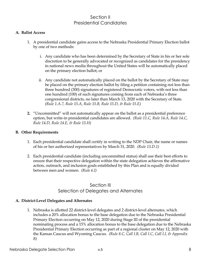# Section II Presidential Candidates

#### **A. Ballot Access**

- 1. A presidential candidate gains access to the Nebraska Presidential Primary Election ballot by one of two methods:
	- i. Any candidate who has been determined by the Secretary of State in his or her sole discretion to be generally advocated or recognized as candidates for the presidency in national news media throughout the United States will be automatically placed on the primary election ballot; or
	- ii. Any candidate not automatically placed on the ballot by the Secretary of State may be placed on the primary election ballot by filing a petition containing not less than three hundred (300) signatures of registered Democratic voters, with not less than one hundred (100) of such signatures coming from each of Nebraska's three congressional districts, no later than March 13, 2020 with the Secretary of State. *(Rule 1.A.7, Rule 15.A, Rule 15.B, Rule 15.D, & Rule 15.E)*
- **2.** "Uncommitted" will not automatically appear on the ballot as a presidential preference option, but write-in presidential candidates are allowed. *(Rule 11.C, Rule 14.A, Rule 14.C, Rule 14.D, Rule 14.E, & Rule 15.H)*

#### **B. Other Requirements**

- 1. Each presidential candidate shall certify in writing to the NDP Chair, the name or names of his or her authorized representatives by March 31, 2020. *(Rule 13.D.1)*
- 2. Each presidential candidate (including uncommitted status) shall use their best efforts to ensure that their respective delegation within the state delegation achieves the affirmative action, outreach, and inclusion goals established by this Plan and is equally divided between men and women. *(Rule 6.I)*

# Section III Selection of Delegates and Alternates

#### **A. District-Level Delegates and Alternates**

1. Nebraska is allotted 22 district-level delegates and 2 district-level alternates, which includes a 20% allocation bonus to the base delegation due to the Nebraska Presidential Primary Election occurring on May 12, 2020 during Stage III of the presidential nominating process and a 15% allocation bonus to the base delegation due to the Nebraska Presidential Primary Election occurring as part of a regional cluster on May 12, 2020 with the Kansas Caucus and Wyoming Caucus. *(Rule 8.C, Call I.B, Call I.C, Call I.I, & Appendix B)*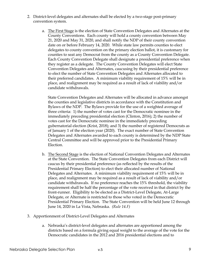- 2. District-level delegates and alternates shall be elected by a two-stage post-primary convention system.
	- a. The First Stage is the election of State Convention Delegates and Alternates at the County Conventions. Each county will hold a county convention between May 21, 2020 and May 31, 2020, and shall notify the NDP of their county convention date on or before February 14, 2020. While state law permits counties to elect delegates to county convention on the primary election ballot, it is customary for counties to seat any Democrat from the county as a County Convention Delegate. Each County Convention Delegate shall designate a presidential preference when they register as a delegate. The County Convention Delegates will elect State Convention Delegates and Alternates, caucusing by their presidential preference to elect the number of State Convention Delegates and Alternates allocated to their preferred candidates. A minimum viability requirement of 15% will be in place, and realignment may be required as a result of lack of viability and/or candidate withdrawals.

State Convention Delegates and Alternates will be allocated in advance amongst the counties and legislative districts in accordance with the Constitution and Bylaws of the NDP. The Bylaws provide for the use of a weighted average of three criteria: 1) the number of votes cast for the Democratic nominee in the immediately preceding presidential election (Clinton, 2016); 2) the number of votes cast for the Democratic nominee in the immediately preceding gubernatorial election (Krist, 2018); and 3) the number of registered Democrats as of January 1 of the election year (2020). The exact number of State Convention Delegates and Alternates awarded to each county is determined by the NDP State Central Committee and will be approved prior to the Presidential Primary Election.

- b. The Second Stage is the election of National Convention Delegates and Alternates at the State Convention. The State Convention Delegates from each District will caucus by their presidential preference (as reflected by the results of the Presidential Primary Election) to elect their allocated number of National Delegates and Alternates. A minimum viability requirement of 15% will be in place, and realignment may be required as a result of lack of viability and/or candidate withdrawals. If no preference reaches the 15% threshold, the viability requirement shall be half the percentage of the vote received in that district by the front-runner. Eligibility to be elected as a District-Level Delegate, At-Large Delegate, or Alternate is restricted to those who voted in the Democratic Presidential Primary Election.The State Convention will be held June 12 through June 14, 2020 in La Vista, Nebraska. *(Rule 14.F)*
- 3. Apportionment of District-Level Delegates and Alternates
	- a. Nebraska's district-level delegates and alternates are apportioned among the districts based on a formula giving equal weight to the average of the vote for the Democratic candidates in the 2012 and 2016 presidential elections and to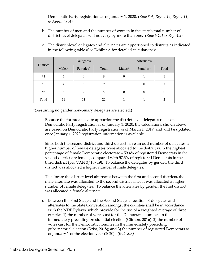Democratic Party registration as of January 1, 2020. *(Rule 8.A, Reg. 4.12, Reg. 4.11, & Appendix A)*

b. The number of men and the number of women in the state's total number of district-level delegates will not vary by more than one. *(Rule 6.C.1 & Reg. 4.9)*

| c. The district-level delegates and alternates are apportioned to districts as indicated |
|------------------------------------------------------------------------------------------|
| in the following table (See Exhibit A for detailed calculations):                        |

| District |        | Delegates      |       | Alternates |                |       |  |
|----------|--------|----------------|-------|------------|----------------|-------|--|
|          | Males* | Females*       | Total | Males*     | Females*       | Total |  |
| #1       | 4      | 4              | 8     | 0          |                |       |  |
| #2       | 4      | 5              | 9     |            | $\theta$       |       |  |
| #3       | 3      | $\overline{2}$ | 5     | 0          | $\overline{0}$ | 0     |  |
| Total    | 11     | 11             | 22    |            |                |       |  |

\*(Assuming no gender non-binary delegates are elected.)

Because the formula used to apportion the district-level delegates relies on Democratic Party registration as of January 1, 2020, the calculations shown above are based on Democratic Party registration as of March 1, 2019, and will be updated once January 1, 2020 registration information is available.

Since both the second district and third district have an odd number of delegates, a higher number of female delegates were allocated to the district with the highest percentage of female Democratic electorate – 59.4% of registered Democrats in the second district are female, compared with 57.3% of registered Democrats in the third district (per VAN 3/10/19). To balance the delegates by gender, the third district was allocated a higher number of male delegates.

To allocate the district-level alternates between the first and second districts, the male alternate was allocated to the second district since it was allocated a higher number of female delegates. To balance the alternates by gender, the first district was allocated a female alternate.

d. Between the First Stage and the Second Stage, allocation of delegates and alternates to the State Convention amongst the counties shall be in accordance with the NDP Bylaws, which provide for the use of a weighted average of three criteria: 1) the number of votes cast for the Democratic nominee in the immediately preceding presidential election (Clinton, 2016); 2) the number of votes cast for the Democratic nominee in the immediately preceding gubernatorial election (Krist, 2018); and 3) the number of registered Democrats as of January 1 of the election year (2020). *(Rule 8.B)*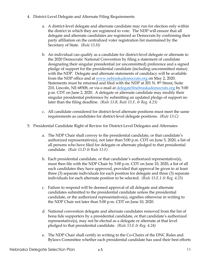- 4. District-Level Delegate and Alternate Filing Requirements
	- a. A district-level delegate and alternate candidate may run for election only within the district in which they are registered to vote. The NDP will ensure that all delegate and alternate candidates are registered as Democrats by confirming their party affiliation on the centralized voter registration list maintained by the Secretary of State. *(Rule 13.H)*
	- b. An individual can qualify as a candidate for district-level delegate or alternate to the 2020 Democratic National Convention by filing a statement of candidate designating their singular presidential (or uncommitted) preference and a signed pledge of support for the presidential candidate (including uncommitted status) with the NDP. Delegate and alternate statements of candidacy will be available from the NDP office and at www.nebraskademocrats.org on May 2, 2020. Statements must be returned and filed with the NDP at 201 N. 8<sup>th</sup> Street, Suite 210, Lincoln, NE 68508, or via e-mail at delegate@nebraskademocrats.org by 5:00 p.m. CDT on June 2, 2020. A delegate or alternate candidate may modify their singular presidential preference by submitting an updated pledge of support no later than the filing deadline. *(Rule 13.B, Rule 15.F, & Reg. 4.23)*
	- c. All candidate considered for district-level alternate positions must meet the same requirements as candidates for district-level delegate positions. *(Rule 13.C)*
- 5. Presidential Candidate Right of Review for District-Level Delegates and Alternates
	- a. The NDP Chair shall convey to the presidential candidate, or that candidate's authorized representative(s), not later than 5:00 p.m. CDT on June 5, 2020, a list of all persons who have filed for delegate or alternate pledged to that presidential candidate. *(Rule 13.D & Rule 13.F)*
	- b. Each presidential candidate, or that candidate's authorized representative(s), must then file with the NDP Chair by 5:00 p.m. CDT on June 10, 2020, a list of all such candidates they have approved, provided that approval be given to at least three (3) separate individuals for each position for delegate and three (3) separate individuals for each alternate position to be selected. *(Rule 13.E.1 & Reg. 4.25)*
	- c. Failure to respond will be deemed approval of all delegate and alternate candidates submitted to the presidential candidate unless the presidential candidate, or the authorized representative(s), signifies otherwise in writing to the NDP Chair not later than 5:00 p.m. CDT on June 10, 2020.
	- d. National convention delegate and alternate candidates removed from the list of bona fide supporters by a presidential candidate, or that candidate's authorized representative(s), may not be elected as a delegate or alternate at that level pledged to that presidential candidate. *(Rule 13.E & Reg. 4.24)*
	- e. The NDP Chair shall certify in writing to the Co-Chairs of the DNC Rules and Bylaws Committee whether each presidential candidate has used their best efforts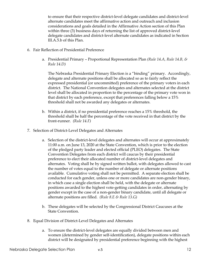to ensure that their respective district-level delegate candidates and district-level alternate candidates meet the affirmative action and outreach and inclusion considerations and goals detailed in the Affirmative Action section of this Plan within three (3) business days of returning the list of approved district-level delegate candidates and district-level alternate candidates as indicated in Section III.A.5.b of this Plan.

- 6. Fair Reflection of Presidential Preference
	- a. Presidential Primary Proportional Representation Plan *(Rule 14.A, Rule 14.B, & Rule 14.D)*

The Nebraska Presidential Primary Election is a "binding" primary. Accordingly, delegate and alternate positions shall be allocated so as to fairly reflect the expressed presidential (or uncommitted) preference of the primary voters in each district. The National Convention delegates and alternates selected at the district level shall be allocated in proportion to the percentage of the primary vote won in that district by each preference, except that preferences falling below a 15% threshold shall not be awarded any delegates or alternates.

- b. Within a district, if no presidential preference reaches a 15% threshold, the threshold shall be half the percentage of the vote received in that district by the front-runner. *(Rule 14.F)*
- 7. Selection of District-Level Delegates and Alternates
	- a. Selection of the district-level delegates and alternates will occur at approximately 11:00 a.m. on June 13, 2020 at the State Convention, which is prior to the election of the pledged party leader and elected official (PLEO) delegates. The State Convention Delegates from each district will caucus by their presidential preference to elect their allocated number of district-level delegates and alternates. Voting shall be by signed written ballot, with delegates allowed to cast the number of votes equal to the number of delegate or alternate positions available. Cumulative voting shall not be permitted. A separate election shall be conducted for each gender, unless one or more candidates are non-gender binary, in which case a single election shall be held, with the delegate or alternate positions awarded to the highest vote-getting candidates in order, alternating by gender except in the case of a non-gender binary candidate, until all delegate or alternate positions are filled. *(Rule 8.E & Rule 13.G)*
	- b. These delegates will be selected by the Congressional District Caucuses at the State Convention.
- 8. Equal Division of District-Level Delegates and Alternates
	- a. To ensure the district-level delegates are equally divided between men and women (determined by gender self-identification), delegate positions within each district will be designated by presidential preference beginning with the highest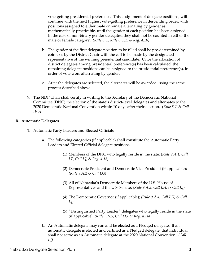vote-getting presidential preference. This assignment of delegate positions, will continue with the next highest vote-getting preference in descending order, with positions assigned to either male or female alternating by gender as mathematically practicable, until the gender of each position has been assigned. In the case of non-binary gender delegates, they shall not be counted in either the male or female category. *(Rule 6.C, Rule 6.C.1, & Reg. 4.10)*

- b. The gender of the first delegate position to be filled shall be pre-determined by coin toss by the District Chair with the call to be made by the designated representative of the winning presidential candidate. Once the allocation of district delegates among presidential preference(s) has been calculated, the remaining delegate positions can be assigned to the presidential preference(s), in order of vote won, alternating by gender.
- c. After the delegates are selected, the alternates will be awarded, using the same process described above.
- 9. The NDP Chair shall certify in writing to the Secretary of the Democratic National Committee (DNC) the election of the state's district-level delegates and alternates to the 2020 Democratic National Convention within 10 days after their election. *(Rule 8.C & Call IV.A)*

#### **B. Automatic Delegates**

- 1. Automatic Party Leaders and Elected Officials
	- a. The following categories (if applicable) shall constitute the Automatic Party Leaders and Elected Official delegate positions:
		- (1) Members of the DNC who legally reside in the state; *(Rule 9.A.1, Call I.F, Call I.J, & Reg. 4.15)*
		- (2) Democratic President and Democratic Vice President (if applicable); *(Rule 9.A.2 & Call I.G)*
		- (3) All of Nebraska's Democratic Members of the U.S. House of Representatives and the U.S. Senate; *(Rule 9.A.3, Call I.H, & Call I.J)*
		- (4) The Democratic Governor (if applicable); *(Rule 9.A.4, Call I.H, & Call I.J)*
		- (5) "Distinguished Party Leader" delegates who legally reside in the state (if applicable); *(Rule 9.A.5, Call I.G, & Reg. 4.14)*
	- b. An Automatic delegate may run and be elected as a Pledged delegate. If an automatic delegate is elected and certified as a Pledged delegate, that individual shall not serve as an Automatic delegate at the 2020 National Convention. *(Call I.J)*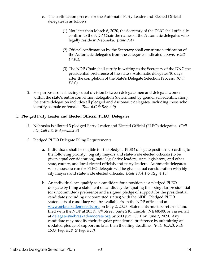- c. The certification process for the Automatic Party Leader and Elected Official delegates is as follows:
	- (1) Not later than March 6, 2020, the Secretary of the DNC shall officially confirm to the NDP Chair the names of the Automatic delegates who legally reside in Nebraska. *(Rule 9.A)*
	- (2) Official confirmation by the Secretary shall constitute verification of the Automatic delegates from the categories indicated above. *(Call IV.B.1)*
	- (3) The NDP Chair shall certify in writing to the Secretary of the DNC the presidential preference of the state's Automatic delegates 10 days after the completion of the State's Delegate Selection Process. *(Call IV.C)*
- 2. For purposes of achieving equal division between delegate men and delegate women within the state's entire convention delegation (determined by gender self-identification), the entire delegation includes all pledged and Automatic delegates, including those who identify as male or female. *(Rule 6.C & Reg. 4.9)*

## C. **Pledged Party Leader and Elected Official (PLEO) Delegates**

- 1. Nebraska is allotted 3 pledged Party Leader and Elected Official (PLEO) delegates. *(Call I.D, Call I.E, & Appendix B)*
- 2. Pledged PLEO Delegate Filing Requirements
	- a. Individuals shall be eligible for the pledged PLEO delegate positions according to the following priority: big city mayors and state-wide elected officials (to be given equal consideration); state legislative leaders, state legislators, and other state, county, and local elected officials and party leaders. Automatic delegates who choose to run for PLEO delegate will be given equal consideration with big city mayors and state-wide elected officials. *(Rule 10.A.1 & Reg. 4.16)*
	- b. An individual can qualify as a candidate for a position as a pledged PLEO delegate by filing a statement of candidacy designating their singular presidential (or uncommitted) preference and a signed pledge of support for the presidential candidate (including uncommitted status) with the NDP. Pledged PLEO statements of candidacy will be available from the NDP office and at www.nebraskademocrats.org on May 2, 2020. Statements must be returned and filed with the NDP at 201 N. 8<sup>th</sup> Street, Suite 210, Lincoln, NE 68508, or via e-mail at delegate@nebraskademocrats.org by 5:00 p.m. CDT on June 2, 2020. Any candidate may modify their singular presidential preference by submitting an updated pledge of support no later than the filing deadline. *(Rule 10.A.3, Rule 15.G, Reg. 4.18, & Reg. 4.17)*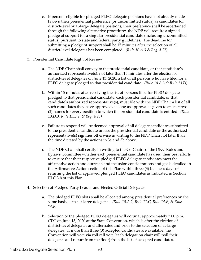- c. If persons eligible for pledged PLEO delegate positions have not already made known their presidential preference (or uncommitted status) as candidates for district-level or at-large delegate positions, their preference shall be ascertained through the following alternative procedure: the NDP will require a signed pledge of support for a singular presidential candidate (including uncommitted status) pursuant to state and federal party guidelines. The deadline for submitting a pledge of support shall be 15 minutes after the selection of all district-level delegates has been completed. *(Rule 10.A.3 & Reg. 4.17)*
- 3. Presidential Candidate Right of Review
	- a. The NDP Chair shall convey to the presidential candidate, or that candidate's authorized representative(s), not later than 15 minutes after the election of district-level delegates on June 13, 2020, a list of all persons who have filed for a PLEO delegate pledged to that presidential candidate. *(Rule 10.A.3 & Rule 13.D)*
	- b. Within 15 minutes after receiving the list of persons filed for PLEO delegate pledged to that presidential candidate, each presidential candidate, or that candidate's authorized representative(s), must file with the NDP Chair a list of all such candidates they have approved, as long as approval is given to at least two (2) names for every position to which the presidential candidate is entitled. *(Rule 13.D.3, Rule 13.E.2, & Reg. 4.25)*
	- c. Failure to respond will be deemed approval of all delegate candidates submitted to the presidential candidate unless the presidential candidate or the authorized representative(s) signifies otherwise in writing to the NDP Chair not later than the time dictated by the actions in 3a and 3b above.
	- d. The NDP Chair shall certify in writing to the Co-Chairs of the DNC Rules and Bylaws Committee whether each presidential candidate has used their best efforts to ensure that their respective pledged PLEO delegate candidates meet the affirmative action and outreach and inclusion considerations and goals detailed in the Affirmative Action section of this Plan within three (3) business days of returning the list of approved pledged PLEO candidates as indicated in Section III.C.3.b of this Plan.
- 4. Selection of Pledged Party Leader and Elected Official Delegates
	- a. The pledged PLEO slots shall be allocated among presidential preferences on the same basis as the at-large delegates. *(Rule 10.A.2, Rule 11.C, Rule 14.E, & Rule 14.F)*
	- b. Selection of the pledged PLEO delegates will occur at approximately 3:00 p.m. CDT on June 13, 2020 at the State Convention, which is after the election of district-level delegates and alternates and prior to the selection of at-large delegates. If more than three (3) accepted candidates are available, the Convention will vote via roll call vote (each delegation chair will poll their delegates and report from the floor) from the list of accepted candidates.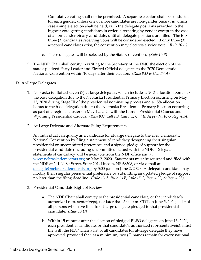Cumulative voting shall not be permitted. A separate election shall be conducted for each gender, unless one or more candidates are non-gender binary, in which case a single election shall be held, with the delegate positions awarded to the highest vote-getting candidates in order, alternating by gender except in the case of a non-gender binary candidate, until all delegate positions are filled. The top three (3) candidates receiving votes will be considered elected. If only three (3) accepted candidates exist, the convention may elect via a voice vote. *(Rule 10.A)*

- c. These delegates will be selected by the State Convention. *(Rule 10.B)*
- **5.** The NDP Chair shall certify in writing to the Secretary of the DNC the election of the state's pledged Party Leader and Elected Official delegates to the 2020 Democratic National Convention within 10 days after their election. *(Rule 8.D & Call IV.A)*

#### **D. At-Large Delegates**

- 1. Nebraska is allotted seven (7) at-large delegates, which includes a 20% allocation bonus to the base delegation due to the Nebraska Presidential Primary Election occurring on May 12, 2020 during Stage III of the presidential nominating process and a 15% allocation bonus to the base delegation due to the Nebraska Presidential Primary Election occurring as part of a regional cluster on May 12, 2020 with the Kansas Presidential Caucus and Wyoming Presidential Caucus. *(Rule 8.C, Call I.B, Call I.C, Call II, Appendix B, & Reg. 4.34)*
- 2. At-Large Delegate and Alternate Filing Requirements

An individual can qualify as a candidate for at-large delegate to the 2020 Democratic National Convention by filing a statement of candidacy designating their singular presidential or uncommitted preference and a signed pledge of support for the presidential candidate (including uncommitted status) with the NDP. Delegate statements of candidacy will be available from the NDP office and at www.nebraskademocrats.org on May 2, 2020. Statements must be returned and filed with the NDP at 201 N. 8th Street, Suite 201, Lincoln, NE 68508, or via e-mail at delegate@nebraskademocrats.org by 5:00 p.m. on June 2, 2020. A delegate candidate may modify their singular presidential preference by submitting an updated pledge of support no later than the filing deadline. *(Rule 13.A, Rule 13.B, Rule 15.G, Reg. 4.22, & Reg. 4.23)*

- 3. Presidential Candidate Right of Review
	- a. The NDP Chair shall convey to the presidential candidate, or that candidate's authorized representative(s), not later than 5:00 p.m. CDT on June 5, 2020, a list of all persons who have filed for at-large delegate pledged to that presidential candidate. *(Rule 13.D)*
	- b. Within 15 minutes after the election of pledged PLEO delegates on June 13, 2020, each presidential candidate, or that candidate's authorized representative(s), must file with the NDP Chair a list of all candidates for at-large delegate they have approved, provided that, at a minimum, two (2) names remain for every national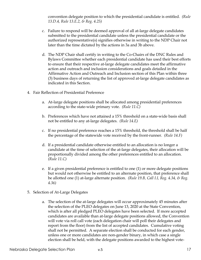convention delegate position to which the presidential candidate is entitled. *(Rule 13.D.4, Rule 13.E.2, & Reg. 4.25)*

- c. Failure to respond will be deemed approval of all at-large delegate candidates submitted to the presidential candidate unless the presidential candidate or the authorized representative(s) signifies otherwise in writing to the NDP Chair not later than the time dictated by the actions in 3a and 3b above.
- d. The NDP Chair shall certify in writing to the Co-Chairs of the DNC Rules and Bylaws Committee whether each presidential candidate has used their best efforts to ensure that their respective at-large delegate candidates meet the affirmative action and outreach and inclusion considerations and goals detailed in the Affirmative Action and Outreach and Inclusion section of this Plan within three (3) business days of returning the list of approved at-large delegate candidates as indicated in this Section.
- 4. Fair Reflection of Presidential Preference
	- a. At-large delegate positions shall be allocated among presidential preferences according to the state-wide primary vote. *(Rule 11.C)*
	- b. Preferences which have not attained a 15% threshold on a state-wide basis shall not be entitled to any at-large delegates. *(Rule 14.E)*
	- c. If no presidential preference reaches a 15% threshold, the threshold shall be half the percentage of the statewide vote received by the front-runner. *(Rule 14.F)*
	- d. If a presidential candidate otherwise entitled to an allocation is no longer a candidate at the time of selection of the at-large delegates, their allocation will be proportionally divided among the other preferences entitled to an allocation. *(Rule 11.C)*
	- e. If a given presidential preference is entitled to one (1) or more delegate positions but would not otherwise be entitled to an alternate position, that preference shall be allotted one (1) at-large alternate position. *(Rule 19.B, Call I.I, Reg. 4.34, & Reg. 4.36)*
- 5. Selection of At-Large Delegates
	- a. The selection of the at-large delegates will occur approximately 45 minutes after the selection of the PLEO delegates on June 13, 2020 at the State Convention, which is after all pledged PLEO delegates have been selected. If more accepted candidates are available than at-large delegate positions allowed, the Convention will vote via roll call vote (each delegation chair will poll their delegates and report from the floor) from the list of accepted candidates. Cumulative voting shall not be permitted. A separate election shall be conducted for each gender, unless one or more candidates are non-gender binary, in which case a single election shall be held, with the delegate positions awarded to the highest vote-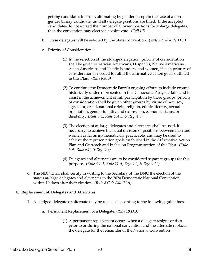getting candidates in order, alternating by gender except in the case of a nongender binary candidate, until all delegate positions are filled. If the accepted candidates do not exceed the number of allowed positions for at-large delegates, then the convention may elect via a voice vote. *(Call III)* 

- b. These delegates will be selected by the State Convention. *(Rule 8.E & Rule 11.B)*
- c. Priority of Consideration
	- (1) In the selection of the at-large delegation, priority of consideration shall be given to African Americans, Hispanics, Native Americans, Asian Americans and Pacific Islanders, and women, if such priority of consideration is needed to fulfill the affirmative action goals outlined in this Plan. *(Rule 6.A.3)*
	- (2) To continue the Democratic Party's ongoing efforts to include groups historically under-represented in the Democratic Party's affairs and to assist in the achievement of full participation by these groups, priority of consideration shall be given other groups by virtue of race, sex, age, color, creed, national origin, religion, ethnic identity, sexual orientation, gender identity and expression, economic status, or disability. *(Rule 5.C, Rule 6.A.3, & Reg. 4.8)*
	- (3) The election of at-large delegates and alternates shall be used, if necessary, to achieve the equal division of positions between men and women as far as mathematically practicable, and may be used to achieve the representation goals established in the Affirmative Action Plan and Outreach and Inclusion Program section of this Plan. *(Rule 6.A, Rule 6.C, & Reg. 4.9)*
	- (4) Delegates and alternates are to be considered separate groups for this purpose. *(Rule 6.C.1, Rule 11.A, Reg. 4.9, & Reg. 4.20)*
- 6. The NDP Chair shall certify in writing to the Secretary of the DNC the election of the state's at-large delegates and alternates to the 2020 Democratic National Convention within 10 days after their election. *(Rule 8.C & Call IV.A)*

#### **E. Replacement of Delegates and Alternates**

- 1. A pledged delegate or alternate may be replaced according to the following guidelines:
	- a. Permanent Replacement of a Delegate: *(Rule 19.D.3)*
		- (1) A permanent replacement occurs when a delegate resigns or dies prior to or during the national convention and the alternate replaces the delegate for the remainder of the National Convention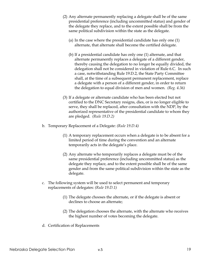- (2) Any alternate permanently replacing a delegate shall be of the same presidential preference (including uncommitted status) and gender of the delegate they replace, and to the extent possible shall be from the same political subdivision within the state as the delegate.
	- (a) In the case where the presidential candidate has only one (1) alternate, that alternate shall become the certified delegate.
	- (b) If a presidential candidate has only one (1) alternate, and that alternate permanently replaces a delegate of a different gender, thereby causing the delegation to no longer be equally divided, the delegation shall not be considered in violation of Rule 6.C. In such a case, notwithstanding Rule 19.D.2, the State Party Committee shall, at the time of a subsequent permanent replacement, replace a delegate with a person of a different gender, in order to return the delegation to equal division of men and women. *(Reg. 4.36)*
- (3) If a delegate or alternate candidate who has been elected but not certified to the DNC Secretary resigns, dies, or is no longer eligible to serve, they shall be replaced, after consultation with the NDP, by the authorized representative of the presidential candidate to whom they are pledged. *(Rule 19.D.2)*
- b. Temporary Replacement of a Delegate: *(Rule 19.D.4)*
	- (1) A temporary replacement occurs when a delegate is to be absent for a limited period of time during the convention and an alternate temporarily acts in the delegate's place.
	- (2) Any alternate who temporarily replaces a delegate must be of the same presidential preference (including uncommitted status) as the delegate they replace, and to the extent possible shall be of the same gender and from the same political subdivision within the state as the delegate.
- c. The following system will be used to select permanent and temporary replacements of delegates: *(Rule 19.D.1)*
	- (1) The delegate chooses the alternate, or if the delegate is absent or declines to choose an alternate;
	- (2) The delegation chooses the alternate, with the alternate who receives the highest number of votes becoming the delegate.
- d. Certification of Replacements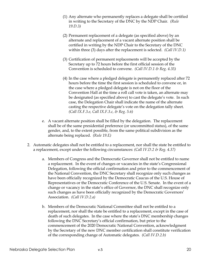- (1) Any alternate who permanently replaces a delegate shall be certified in writing to the Secretary of the DNC by the NDP Chair. *(Rule 19.D.3)*
- (2) Permanent replacement of a delegate (as specified above) by an alternate and replacement of a vacant alternate position shall be certified in writing by the NDP Chair to the Secretary of the DNC within three (3) days after the replacement is selected. *(Call IV.D.1)*
- (3) Certification of permanent replacements will be accepted by the Secretary up to 72 hours before the first official session of the Convention is scheduled to convene. *(Call IV.D.1 & Reg. 4.35)*
- (4) In the case where a pledged delegate is permanently replaced after 72 hours before the time the first session is scheduled to convene or, in the case where a pledged delegate is not on the floor of the Convention Hall at the time a roll call vote is taken, an alternate may be designated (as specified above) to cast the delegate's vote. In such case, the Delegation Chair shall indicate the name of the alternate casting the respective delegate's vote on the delegation tally sheet. *(Call IX.F.3.e, Call IX.F.3.c, & Reg. 5.6)*
- e. A vacant alternate position shall be filled by the delegation. The replacement shall be of the same presidential preference (or uncommitted status), of the same gender, and, to the extent possible, from the same political subdivision as the alternate being replaced. *(Rule 19.E)*
- 2. Automatic delegates shall not be entitled to a replacement, nor shall the state be entitled to a replacement, except under the following circumstances: *(Call IV.D.2 & Reg. 4.37)*
	- a. Members of Congress and the Democratic Governor shall not be entitled to name a replacement. In the event of changes or vacancies in the state's Congressional Delegation, following the official confirmation and prior to the commencement of the National Convention, the DNC Secretary shall recognize only such changes as have been officially recognized by the Democratic Caucus of the U.S. House of Representatives or the Democratic Conference of the U.S. Senate. In the event of a change or vacancy in the state's office of Governor, the DNC shall recognize only such changes as have been officially recognized by the Democratic Governors' Association. *(Call IV.D.2.a)*
	- b. Members of the Democratic National Committee shall not be entitled to a replacement, nor shall the state be entitled to a replacement, except in the case of death of such delegates. In the case where the state's DNC membership changes following the DNC Secretary's official confirmation, but prior to the commencement of the 2020 Democratic National Convention, acknowledgment by the Secretary of the new DNC member certification shall constitute verification of the corresponding change of Automatic delegates. *(Call IV.D.2.b)*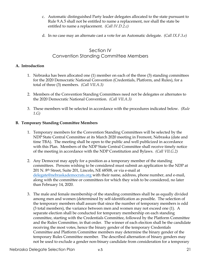- c. Automatic distinguished Party leader delegates allocated to the state pursuant to Rule 9.A.5 shall not be entitled to name a replacement, nor shall the state be entitled to name a replacement. *(Call IV.D.2.c)*
- d. In no case may an alternate cast a vote for an Automatic delegate. *(Call IX.F.3.e)*

# Section IV Convention Standing Committee Members

#### **A. Introduction**

- 1. Nebraska has been allocated one (1) member on each of the three (3) standing committees for the 2020 Democratic National Convention (Credentials, Platform, and Rules), for a total of three (3) members. *(Call VII.A.3)*
- 2. Members of the Convention Standing Committees need not be delegates or alternates to the 2020 Democratic National Convention. *(Call VII.A.3)*
- 3. These members will be selected in accordance with the procedures indicated below. *(Rule 1.G)*

#### **B. Temporary Standing Committee Members**

- 1. Temporary members for the Convention Standing Committees will be selected by the NDP State Central Committee at its March 2020 meeting in Fremont, Nebraska (date and time TBA). The meeting shall be open to the public and well publicized in accordance with this Plan. Members of the NDP State Central Committee shall receive timely notice of the meeting in accordance with the NDP Constitution and Bylaws. *(Call VII.G.2)*
- 2. Any Democrat may apply for a position as a temporary member of the standing committees. Persons wishing to be considered must submit an application to the NDP at 201 N. 8th Street, Suite 201, Lincoln, NE 68508, or via e-mail at delegate@nebraskademocrats.org with their name, address, phone number, and e-mail, along with the committee or committees for which they wish to be considered, no later than February 14, 2020.
- 3. The male and female membership of the standing committees shall be as equally divided among men and women (determined by self-identification as possible. The selection of the temporary members shall assure that since the number of temporary members is odd (3 total members), the variance between men and women may not exceed one (1). A separate election shall be conducted for temporary membership on each standing committee, starting with the Credentials Committee, followed by the Platform Committee and the Rules Committee, in that order. The winner of each election shall be the candidate receiving the most votes, hence the binary gender of the temporary Credentials Committee and Platform Committee members may determine the binary gender of the temporary Rules Committee member. The described alternation of binary genders may not be used to exclude a gender non-binary candidate from consideration for a temporary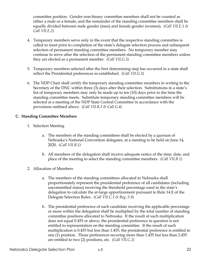committee position. Gender non-binary committee members shall not be counted as either a male or a female, and the remainder of the standing committee members shall be equally divided between male gender (men) and female gender (women). *(Call VII.E.1 & Call VII.E.2)*

- 4. Temporary members serve only in the event that the respective standing committee is called to meet prior to completion of the state's delegate selection process and subsequent selection of permanent standing committee members. No temporary member may continue to serve after the selection of the permanent standing committee members unless they are elected as a permanent member. *(Call VII.G.3)*
- 5. Temporary members selected after the first determining step has occurred in a state shall reflect the Presidential preferences so established. *(Call VII.G.3)*
- 6. The NDP Chair shall certify the temporary standing committee members in writing to the Secretary of the DNC within three (3) days after their selection. Substitutions in a state's list of temporary members may only be made up to ten (10) days prior to the time the standing committee meets. Substitute temporary standing committee members will be selected at a meeting of the NDP State Central Committee in accordance with the provisions outlined above. *(Call VII.B.3 & Call G.4)*

#### **C. Standing Committee Members**

- 1. Selection Meeting
	- a. The members of the standing committees shall be elected by a quorum of Nebraska's National Convention delegates, at a meeting to be held on June 14, 2020. *(Call VII.B.1)*
	- b. All members of the delegation shall receive adequate notice of the time, date, and place of the meeting to select the standing committee members. *(Call VII.B.1)*
- 2. Allocation of Members
	- a. The members of the standing committees allocated to Nebraska shall proportionately represent the presidential preference of all candidates (including uncommitted status) receiving the threshold percentage used in the state's delegation to calculate the at-large apportionment pursuant to Rule 14.E of the Delegate Selection Rules. *(Call VII.C.1 & Reg. 5.9)*
	- b. The presidential preference of each candidate receiving the applicable percentage or more within the delegation shall be multiplied by the total number of standing committee positions allocated to Nebraska. If the result of such multiplication does not equal 0.455 or above, the presidential preference in question is not entitled to representation on the standing committee. If the result of such multiplication is 0.455 but less than 1.455, the presidential preference is entitled to one (1) position. Those preferences securing more than 1.455 but less than 2.455 are entitled to two (2) positions, etc. *(Call VII.C.2)*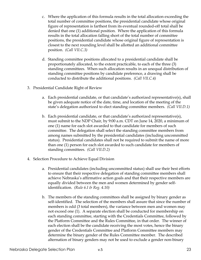- c. Where the application of this formula results in the total allocation exceeding the total number of committee positions, the presidential candidate whose original figure of representation is farthest from its eventual rounded-off total shall be denied that one (1) additional position. Where the application of this formula results in the total allocation falling short of the total number of committee positions, the presidential candidate whose original figure of representation is closest to the next rounding level shall be allotted an additional committee position. *(Call VII.C.3)*
- d. Standing committee positions allocated to a presidential candidate shall be proportionately allocated, to the extent practicable, to each of the three (3) standing committees. When such allocation results in an unequal distribution of standing committee positions by candidate preference, a drawing shall be conducted to distribute the additional positions. *(Call VII.C.4)*
- 3. Presidential Candidate Right of Review
	- a. Each presidential candidate, or that candidate's authorized representative(s), shall be given adequate notice of the date, time, and location of the meeting of the state's delegation authorized to elect standing committee members. *(Call VII.D.1)*
	- b. Each presidential candidate, or that candidate's authorized representative(s), must submit to the NDP Chair, by 9:00 a.m. CDT on June 14, 2020, a minimum of one (1) name for each slot awarded to that candidate for members of such committee. The delegation shall select the standing committee members from among names submitted by the presidential candidates (including uncommitted status). Presidential candidates shall not be required to submit the name of more than one (1) person for each slot awarded to such candidate for members of standing committees. *(Call VII.D.2)*
- 4. Selection Procedure to Achieve Equal Division
	- a. Presidential candidates (including uncommitted status) shall use their best efforts to ensure that their respective delegation of standing committee members shall achieve Nebraska's affirmative action goals and that their respective members are equally divided between the men and women determined by gender selfidentification. *(Rule 6.I & Reg. 4.10)*
	- b. The members of the standing committees shall be assigned by binary gender as self-identified. The selection of the members shall assure that since the number of members is odd (3 total members), the variance between men and women may not exceed one (1). A separate election shall be conducted for membership on each standing committee, starting with the Credentials Committee, followed by the Platform Committee and the Rules Committee, in that order. The winner of each election shall be the candidate receiving the most votes, hence the binary gender of the Credentials Committee and Platform Committee members may determine the binary gender of the Rules Committee member. The described alternation of binary genders may not be used to exclude a gender non-binary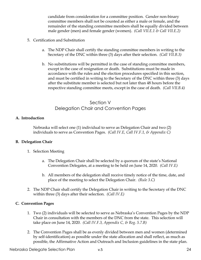candidate from consideration for a committee position. Gender non-binary committee members shall not be counted as either a male or female, and the remainder of the standing committee members shall be equally divided between male gender (men) and female gender (women). *(Call VII.E.1 & Call VII.E.2)*

- 5. Certification and Substitution
	- a. The NDP Chair shall certify the standing committee members in writing to the Secretary of the DNC within three (3) days after their selection. *(Call VII.B.3)*
	- b. No substitutions will be permitted in the case of standing committee members, except in the case of resignation or death. Substitutions must be made in accordance with the rules and the election procedures specified in this section, and must be certified in writing to the Secretary of the DNC within three (3) days after the substitute member is selected but not later than 48 hours before the respective standing committee meets, except in the case of death. *(Call VII.B.4)*

# Section V Delegation Chair and Convention Pages

#### **A. Introduction**

Nebraska will select one (1) individual to serve as Delegation Chair and two (2) individuals to serve as Convention Pages. *(Call IV.E, Call IV.F.1, & Appendix C)*

#### **B. Delegation Chair**

- 1. Selection Meeting
	- a. The Delegation Chair shall be selected by a quorum of the state's National Convention Delegates, at a meeting to be held on June 14, 2020. *(Call IV.E)*
	- b. All members of the delegation shall receive timely notice of the time, date, and place of the meeting to select the Delegation Chair. *(Rule 3.C)*
- 2. The NDP Chair shall certify the Delegation Chair in writing to the Secretary of the DNC within three (3) days after their selection. *(Call IV.E)*

#### **C. Convention Pages**

- 1. Two (2) individuals will be selected to serve as Nebraska's Convention Pages by the NDP Chair in consultation with the members of the DNC from the state. This selection will take place on June 14, 2020. *(Call IV.F.3, Appendix C, & Reg. 5.7.B)*
- 2. The Convention Pages shall be as evenly divided between men and women (determined by self-identification) as possible under the state allocation and shall reflect, as much as possible, the Affirmative Action and Outreach and Inclusion guidelines in the state plan.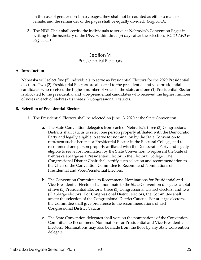In the case of gender non-binary pages, they shall not be counted as either a male or female, and the remainder of the pages shall be equally divided. *(Reg. 5.7.A)*

3. The NDP Chair shall certify the individuals to serve as Nebraska's Convention Pages in writing to the Secretary of the DNC within three (3) days after the selection. *(Call IV.F.3 & Reg. 5.7.B)*

# Section VI Presidential Electors

#### **A. Introduction**

Nebraska will select five (5) individuals to serve as Presidential Electors for the 2020 Presidential election. Two (2) Presidential Electors are allocated to the presidential and vice-presidential candidates who received the highest number of votes in the state, and one (1) Presidential Elector is allocated to the presidential and vice-presidential candidates who received the highest number of votes in each of Nebraska's three (3) Congressional Districts.

#### **B. Selection of Presidential Electors**

- 1. The Presidential Electors shall be selected on June 13, 2020 at the State Convention.
	- a. The State Convention delegates from each of Nebraska's three (3) Congressional Districts shall caucus to select one person properly affiliated with the Democratic Party and legally eligible to serve for nomination by the State Convention to represent such district as a Presidential Elector in the Electoral College, and to recommend one person properly affiliated with the Democratic Party and legally eligible to serve for nomination by the State Convention to represent the State of Nebraska at-large as a Presidential Elector in the Electoral College. The Congressional District Chair shall certify such selection and recommendation to the Chair of the Convention Committee to Recommend Nominations of Presidential and Vice-Presidential Electors.
	- b. The Convention Committee to Recommend Nominations for Presidential and Vice-Presidential Electors shall nominate to the State Convention delegates a total of five (5) Presidential Electors: three (3) Congressional District electors, and two (2) at-large electors. For Congressional District electors, the Committee shall accept the selection of the Congressional District Caucus. For at-large electors, the Committee shall give preference to the recommendations of each Congressional District Caucus.
	- c. The State Convention delegates shall vote on the nominations of the Convention Committee to Recommend Nominations for Presidential and Vice-Presidential Electors. Nominations may also be made from the floor by any State Convention delegate.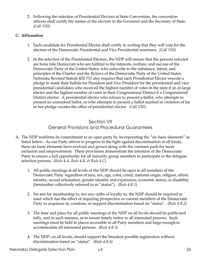2. Following the selection of Presidential Electors at State Convention, the convention officers shall certify the names of the electors to the Governor and the Secretary of State. *(Call VIII)*

## **C. Affirmation**

- 1. Each candidate for Presidential Elector shall certify in writing that they will vote for the election of the Democratic Presidential and Vice Presidential nominees. *(Call VIII)*
- 2. In the selection of the Presidential Electors, the NDP will ensure that the persons selected are bona fide Democrats who are faithful to the interests, welfare, and success of the Democratic Party of the United States, who subscribe to the substance, intent, and principles of the Charter and the Bylaws of the Democratic Party of the United States. Nebraska Revised Statute §32-713 also requires that each Presidential Elector execute a pledge to mark their ballots for President and Vice President for the presidential and vicepresidential candidates who received the highest number of votes in the state if an at-large elector and the highest number of votes in their Congressional District if a Congressional District elector. A presidential elector who refuses to present a ballot, who attempts to present an unmarked ballot, or who attempts to present a ballot marked in violation of his or her pledge vacates the office of presidential elector.*(Call VIII)*

# Section VII General Provisions and Procedural Guarantees

- A. The NDP reaffirms its commitment to an open party by incorporating the "six basic elements" as listed below. As our Party strives to progress in the fight against discrimination of all kinds, these six basic elements have evolved and grown along with the constant push for more inclusion and empowerment. These provisions demonstrate the intention of the Democratic Party to ensure a full opportunity for all minority group members to participate in the delegate selection process. *(Rule 4.A, Rule 4.B, & Rule 4.C)*
	- 1. All public meetings at all levels of the NDP should be open to all members of the Democratic Party regardless of race, sex, age, color, creed, national origin, religion, ethnic identity, sexual orientation, gender identity and expression, economic status, or disability (hereinafter collectively referred to as "status"). *(Rule 4.B.1)*
	- 2. No test for membership in, nor any oaths of loyalty to, the NDP should be required or used which has the effect of requiring prospective or current members of the Democratic Party to acquiesce in, condone, or support discrimination based on "status". *(Rule 4.B.2)*
	- 3. The time and place for all public meetings of the NDP on all levels should be publicized fully, and in such manner, as to assure timely notice to all interested persons. Such meetings must be held in places accessible to all Party members and large enough to accommodate all interested persons. *(Rule 4.B.3)*
	- 4. The NDP, on all levels, should support the broadest possible registration without discrimination based on "status". *(Rule 4.B.4)*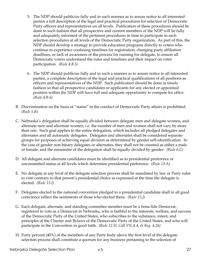- 5. The NDP should publicize fully and in such manner as to assure notice to all interested parties a full description of the legal and practical procedures for selection of Democratic Party officers and representatives on all levels. Publication of these procedures should be done in such fashion that all prospective and current members of the NDP will be fully and adequately informed of the pertinent procedures in time to participate in each selection procedures at all levels of the Democratic Party organization. As part of this, the NDP should develop a strategy to provide education programs directly to voters who continue to experience confusing timelines for registration, changing party affiliation deadlines, or lack of awareness of the process for running for delegate, to ensure all Democratic voters understand the rules and timelines and their impact on voter participation. *(Rule 4.B.5)*
- 6. The NDP should publicize fully and in such a manner as to assure notice to all interested parties, a complete description of the legal and practical qualifications of all positions as officers and representatives of the NDP. Such publication should be done in timely fashion so that all prospective candidates or applicants for any elected or appointed position within the NDP will have full and adequate opportunity to compete for office. *(Rule 4.B.6)*
- B. Discrimination on the basis of "status" in the conduct of Democratic Party affairs is prohibited. *(Rule 5.B)*
- C. Nebraska's delegation shall be equally divided between delegate men and delegate women, and alternate men and alternate women, i.e. the number of men and women shall not vary by more than one. Such goal applies to the entire delegation, which includes all pledged delegates and alternates and all automatic delegates. Delegates and alternates shall be considered separate groups for purposes of achieving equal division as determined by gender self-identification. In the case of gender non-binary delegates or alternates, they shall not be counted as either a male or female, and the remainder of the delegation shall be equally divided by gender. *(Rule 6.C)*
- D. All delegate and alternate candidates must be identified as to presidential preference or uncommitted status at all levels which determine presidential preference. *(Rule 13.A)*
- E. No delegate at any level of the delegate selection process shall be mandated by law or Party rules to vote contrary to that person's presidential choice as expressed at the time the delegate is elected. *(Rule 13.I)*
- F. Delegates elected to the national convention pledged to a presidential candidate shall in all good conscience reflect the sentiments of those who elected them. *(Rule 13.J)*
- G. Each delegate, alternate, and standing committee member must be a bona fide Democrat, registered to vote as a Democrat in Nebraska, who is faithful to the interests, welfare, and success of the Democratic Party of the United States, who subscribes to the substance, intent, and principles of the Charter and Bylaws of the Democratic Party of the United States, and who will participate in the Convention in good faith. *(Rule 12.H, Call VII.A.4, & Reg. 4.26)*
- H. Forty percent (40%) of the members of any Party body above the first level of the delegate selection process shall constitute a quorum for any business pertaining to the selection of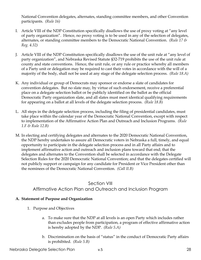National Convention delegates, alternates, standing committee members, and other Convention participants. *(Rule 16)*

- I. Article VIII of the NDP Constitution specifically disallows the use of proxy voting at "any level of party organization". Hence, no proxy voting is to be used in any of the selection of delegates, alternates, or standing committee members to the Democratic National Convention. *(Rule 17 & Reg. 4.32)*
- J. Article VIII of the NDP Constitution specifically disallows the use of the unit rule at "any level of party organization", and Nebraska Revised Statute §32-719 prohibits the use of the unit rule at county and state conventions. Hence, the unit rule, or any rule or practice whereby all members of a Party unit or delegation may be required to cast their votes in accordance with the will of a majority of the body, shall not be used at any stage of the delegate selection process. *(Rule 18.A)*
- K. Any individual or group of Democrats may sponsor or endorse a slate of candidates for convention delegates. But no slate may, by virtue of such endorsement, receive a preferential place on a delegate selection ballot or be publicly identified on the ballot as the official Democratic Party organization slate, and all slates must meet identical qualifying requirements for appearing on a ballot at all levels of the delegate selection process. *(Rule 18.B)*
- L. All steps in the delegate selection process, including the filing of presidential candidates, must take place within the calendar year of the Democratic National Convention, except with respect to implementation of the Affirmative Action Plan and Outreach and Inclusion Programs. *(Rule 1.F & Rule 12.B)*
- M. In electing and certifying delegates and alternates to the 2020 Democratic National Convention, the NDP hereby undertakes to assure all Democratic voters in Nebraska a full, timely, and equal opportunity to participate in the delegate selection process and in all Party affairs and to implement affirmative action and outreach and inclusion plans toward that end; that the delegates and alternates to the Convention shall be selected in accordance with the Delegate Selection Rules for the 2020 Democratic National Convention; and that the delegates certified will not publicly support or campaign for any candidate for President or Vice President other than the nominees of the Democratic National Convention. *(Call II.B)*

# Section VIII Affirmative Action Plan and Outreach and Inclusion Program

## **A. Statement of Purpose and Organization**

- 1. Purpose and Objectives
	- a. To make sure that the NDP at all levels is an open Party which includes rather than excludes people from participation, a program of effective affirmative action is hereby adopted by the NDP. *(Rule 5.A)*
	- b. Discrimination on the basis of "status" in the conduct of Democratic Party affairs is prohibited. *(Rule 5.B)*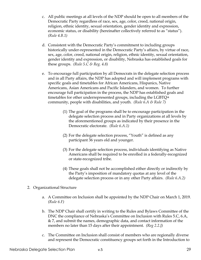- c. All public meetings at all levels of the NDP should be open to all members of the Democratic Party regardless of race, sex, age, color, creed, national origin, religion, ethnic identity, sexual orientation, gender identity and expression, economic status, or disability (hereinafter collectively referred to as "status"). *(Rule 4.B.1)*
- d. Consistent with the Democratic Party's commitment to including groups historically under-represented in the Democratic Party's affairs, by virtue of race, sex, age, color, creed, national origin, religion, ethnic identity, sexual orientation, gender identity and expression, or disability, Nebraska has established goals for these groups. *(Rule 5.C & Reg. 4.8)*
- e. To encourage full participation by all Democrats in the delegate selection process and in all Party affairs, the NDP has adopted and will implement programs with specific goals and timetables for African Americans, Hispanics, Native Americans, Asian Americans and Pacific Islanders, and women. To further encourage full participation in the process, the NDP has established goals and timetables for other underrepresented groups, including the LGBTQ+ community, people with disabilities, and youth. *(Rule 6.A & Rule 7)*
	- (1) The goal of the programs shall be to encourage participation in the delegate selection process and in Party organizations at all levels by the aforementioned groups as indicated by their presence in the Democratic electorate. *(Rule 6.A.1)*
	- (2) For the delegate selection process, "Youth" is defined as any participant 36 years old and younger.
	- (3) For the delegate selection process, individuals identifying as Native Americans shall be required to be enrolled in a federally-recognized or state-recognized tribe.
	- (4) These goals shall not be accomplished either directly or indirectly by the Party's imposition of mandatory quotas at any level of the delegate selection process or in any other Party affairs. *(Rule 6.A.2)*
- 2. Organizational Structure
	- a. A Committee on Inclusion shall be appointed by the NDP Chair on March 1, 2019. *(Rule 6.F)*
	- b. The NDP Chair shall certify in writing to the Rules and Bylaws Committee of the DNC the compliance of Nebraska's Committee on Inclusion with Rules 5.C, 6.A, & 7, and submit the names, demographic data, and contact information of the members no later than 15 days after their appointment. *(Reg 2.2.J)*
	- c. The Committee on Inclusion shall consist of members who are regionally diverse and represent the Democratic constituency groups set forth in the Introduction to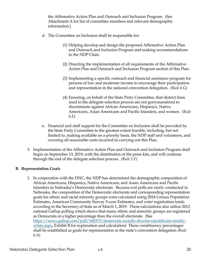the Affirmative Action Plan and Outreach and Inclusion Program. (See Attachment A for list of committee members and relevant demographic information.)

- d. The Committee on Inclusion shall be responsible for:
	- (1) Helping develop and design the proposed Affirmative Action Plan and Outreach and Inclusion Program and making recommendations to the NDP Chair.
	- (2) Directing the implementation of all requirements of the Affirmative Action Plan and Outreach and Inclusion Program section of this Plan.
	- (3) Implementing a specific outreach and financial assistance program for persons of low and moderate income to encourage their participation and representation in the national convention delegation. *(Rule 6.G)*
	- (4) Ensuring, on behalf of the State Party Committee, that district lines used in the delegate selection process are not gerrymandered to discriminate against African Americans, Hispanics, Native Americans, Asian Americans and Pacific Islanders, and women. *(Rule 6.E)*
- e. Financial and staff support for the Committee on Inclusion shall be provided by the State Party Committee to the greatest extent feasible, including, but not limited to, making available on a priority basis, the NDP staff and volunteers, and covering all reasonable costs incurred in carrying out this Plan.
- 3. Implementation of the Affirmative Action Plan and Outreach and Inclusion Program shall begin on September 13, 2019, with the distribution of the press kits, and will continue through the end of the delegate selection process. *(Rule 1.F)*

#### **B. Representation Goals**

1. In cooperation with the DNC, the NDP has determined the demographic composition of African Americans, Hispanics, Native Americans, and Asian Americans and Pacific Islanders in Nebraska's Democratic electorate. Because exit polls are rarely conducted in Nebraska, the composition of the Democratic electorate and corresponding representation goals for ethnic and racial minority groups were calculated using 2018 Census Population Estimates, American Community Survey 5-year Estimates, and voter registration totals according to the Secretary of State as of March 1, 2019. These calculations also utilize 2012 national Gallup polling which shows that many ethnic and minority groups are registered as Democrats at a higher percentage than the overall electorate. (See https://news.gallup.com/poll/160373/democrats-racially-diverse-republicans-mostlywhite.aspx, Exhibit B for explanation and calculation) These constituency percentages shall be established as goals for representation in the state's convention delegation *(Rule 6.A)*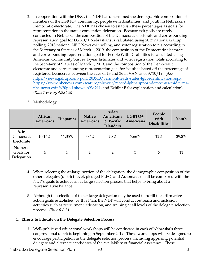- 2. In cooperation with the DNC, the NDP has determined the demographic composition of members of the LGBTQ+ community, people with disabilities, and youth in Nebraska's Democratic electorate. The NDP has chosen to establish these percentages as goals for representation in the state's convention delegation. Because exit polls are rarely conducted in Nebraska, the composition of the Democratic electorate and corresponding representation goal for LGBTQ+ Nebraskans is calculated using 2017 national Gallup polling, 2018 national NBC News exit polling, and voter registration totals according to the Secretary of State as of March 1, 2019, the composition of the Democratic electorate and corresponding representation goal for People With Disabilities is calculated using American Community Survey 1-year Estimates and voter registration totals according to the Secretary of State as of March 1, 2019, and the composition of the Democratic electorate and corresponding representation goal for Youth is based off the percentage of registered Democrats between the ages of 18 and 36 in VAN as of 3/10/19. (See https://news.gallup.com/poll/203513/vermont-leads-states-lgbt-identification.aspx, https://www.nbcnews.com/feature/nbc-out/record-lgbt-support-democrats-midtermsnbc-news-exit-%20poll-shows-n934211, and Exhibit B for explanation and calculation) *(Rule 7 & Reg. 4.8.C.iii)*
- 3. Methodology

|                                    | African<br>Americans | Hispanics | <b>Native</b><br><b>Americans</b> | Asian<br>Americans<br>& Pacific<br><b>Islanders</b> | LGBTQ+<br>Americans | People<br>with<br><b>Disabilities</b> | Youth |
|------------------------------------|----------------------|-----------|-----------------------------------|-----------------------------------------------------|---------------------|---------------------------------------|-------|
| $%$ in<br>Democratic<br>Electorate | 10.16%               | 11.35%    | $0.86\%$                          | 2.8%                                                | 7.66%               | 12%                                   | 29.8% |
| Numeric<br>Goals for<br>Delegation | 4                    | 5         |                                   | $\overline{2}$                                      | 3                   | 5                                     | 11    |

- 4. When selecting the at-large portion of the delegation, the demographic composition of the other delegates (district-level, pledged PLEO, and Automatic) shall be compared with the NDP's goals to achieve an at-large selection process that helps to bring about a representative balance.
- 5. Although the selection of the at-large delegation may be used to fulfill the affirmative action goals established by this Plan, the NDP will conduct outreach and inclusion activities such as recruitment, education, and training at all levels of the delegate selection process. *(Rule 6.A.3)*

## **C. Efforts to Educate on the Delegate Selection Process**

1. Well-publicized educational workshops will be conducted in each of Nebraska's three congressional districts beginning in September 2019. These workshops will be designed to encourage participation in the delegate selection process, including apprising potential delegate and alternate candidates of the availability of financial assistance. These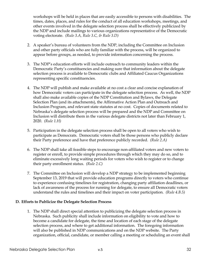workshops will be held in places that are easily accessible to persons with disabilities. The times, dates, places, and rules for the conduct of all education workshops, meetings, and other events involved in the delegate selection process shall be effectively publicized by the NDP and include mailings to various organizations representative of the Democratic voting electorate. *(Rule 3.A, Rule 3.C, & Rule 3.D)*

- 2. A speaker's bureau of volunteers from the NDP, including the Committee on Inclusion and other party officials who are fully familiar with the process, will be organized to appear before groups, as needed, to provide information concerning the process.
- 3. The NDP's education efforts will include outreach to community leaders within the Democratic Party's constituencies and making sure that information about the delegate selection process is available to Democratic clubs and Affiliated Caucus Organizations representing specific constituencies.
- 4. The NDP will publish and make available at no cost a clear and concise explanation of how Democratic voters can participate in the delegate selection process. As well, the NDP shall also make available copies of the NDP Constitution and Bylaws, the Delegate Selection Plan (and its attachments), the Affirmative Action Plan and Outreach and Inclusion Program, and relevant state statutes at no cost. Copies of documents related to Nebraska's delegate selection process will be prepared and the NDP and Committee on Inclusion will distribute them in the various delegate districts not later than February 1, 2020. *(Rule 1.H)*
- 5. Participation in the delegate selection process shall be open to all voters who wish to participate as Democrats. Democratic voters shall be those persons who publicly declare their Party preference and have that preference publicly recorded. *(Rule 2.A)*
- 6. The NDP shall take all feasible steps to encourage non-affiliated voters and new voters to register or enroll, to provide simple procedures through which they may do so, and to eliminate excessively long waiting periods for voters who wish to register or to change their party enrollment status. *(Rule 2.C)*
- 7. The Committee on Inclusion will develop a NDP strategy to be implemented beginning September 13, 2019 that will provide education programs directly to voters who continue to experience confusing timelines for registration, changing party affiliation deadlines, or lack of awareness of the process for running for delegate, to ensure all Democratic voters understand the rules and timelines and their impact on voter participation. *(Rule 4.B.5)*

#### **D. Efforts to Publicize the Delegate Selection Process**

1. The NDP shall direct special attention to publicizing the delegate selection process in Nebraska. Such publicity shall include information on eligibility to vote and how to become a candidate for delegate, the time and location of each stage of the delegate selection process, and where to get additional information. The foregoing information will also be published in NDP communications and on the NDP website. The Party organization, official, candidate, or member calling a meeting or scheduling an event shall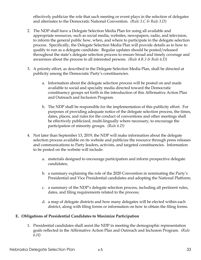effectively publicize the role that such meeting or event plays in the selection of delegates and alternates to the Democratic National Convention. *(Rule 3.C & Rule 3.D)*

- 2. The NDP shall have a Delegate Selection Media Plan for using all available and appropriate resources, such as social media, websites, newspapers, radio, and television, to inform the general public how, when, and where to participate in the delegate selection process. Specifically, the Delegate Selection Media Plan will provide details as to how to qualify to run as a delegate candidate. Regular updates should be posted/released throughout the state's delegate selection process to ensure broad and timely coverage and awareness about the process to all interested persons. *(Rule 4.B.3 & Rule 6.D)*
- 3. A priority effort, as described in the Delegate Selection Media Plan, shall be directed at publicity among the Democratic Party's constituencies.
	- a. Information about the delegate selection process will be posted on and made available to social and specialty media directed toward the Democratic constituency groups set forth in the introduction of this Affirmative Action Plan and Outreach and Inclusion Program.
	- b. The NDP shall be responsible for the implementation of this publicity effort. For purposes of providing adequate notice of the delegate selection process, the times, dates, places, and rules for the conduct of conventions and other meetings shall be effectively publicized, multi-lingually where necessary, to encourage the participation of minority groups. *(Rule 6.D)*
- 4. Not later than September 13, 2019, the NDP will make information about the delegate selection process available on its website and publicize the resource through press releases and communications to Party leaders, activists, and targeted constituencies. Information to be posted on the website will include:
	- a. materials designed to encourage participation and inform prospective delegate candidates;
	- b. a summary explaining the role of the 2020 Convention in nominating the Party's Presidential and Vice Presidential candidates and adopting the National Platform;
	- c. a summary of the NDP's delegate selection process, including all pertinent rules, dates, and filing requirements related to the process;
	- d. a map of delegate districts and how many delegates will be elected within each district, along with filing forms or information on how to obtain the filing forms.

#### **E. Obligations of Presidential Candidates to Maximize Participation**

1. Presidential candidates shall assist the NDP in meeting the demographic representation goals reflected in the Affirmative Action Plan and Outreach and Inclusion Program. *(Rule 6.H)*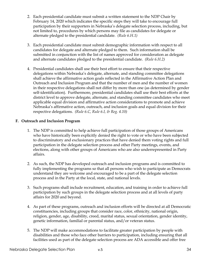- 2. Each presidential candidate must submit a written statement to the NDP Chair by February 14, 2020 which indicates the specific steps they will take to encourage full participation by their supporters in Nebraska's delegate selection process, including, but not limited to, procedures by which persons may file as candidates for delegate or alternate pledged to the presidential candidate. *(Rule 6.H.1)*
- 3. Each presidential candidate must submit demographic information with respect to all candidates for delegate and alternate pledged to them. Such information shall be submitted in conjunction with the list of names approved for consideration as delegate and alternate candidates pledged to the presidential candidate. *(Rule 6.H.2)*
- 4. Presidential candidates shall use their best effort to ensure that their respective delegations within Nebraska's delegate, alternate, and standing committee delegations shall achieve the affirmative action goals reflected in the Affirmative Action Plan and Outreach and Inclusion Program and that the number of men and the number of women in their respective delegations shall not differ by more than one (as determined by gender self-identification). Furthermore, presidential candidates shall use their best efforts at the district level to approve delegate, alternate, and standing committee candidates who meet applicable equal division and affirmative action considerations to promote and achieve Nebraska's affirmative action, outreach, and inclusion goals and equal division for their respective delegations. *(Rule 6.C, Rule 6.I, & Reg. 4.10)*

## **F. Outreach and Inclusion Program**

- 1. The NDP is committed to help achieve full participation of those groups of Americans who have historically been explicitly denied the right to vote or who have been subjected to discriminatory and exclusionary practices that have denied them voting rights and full participation in the delegate selection process and other Party meetings, events, and elections, along with other groups of Americans who are also underrepresented in Party affairs.
- 2. As such, the NDP has developed outreach and inclusion programs and is committed to fully implementing the programs so that all persons who wish to participate as Democrats understand they are welcome and encouraged to be a part of the delegate selection process and in the Party at the local, state, and national levels.
- 3. Such programs shall include recruitment, education, and training in order to achieve full participation by such groups in the delegate selection process and at all levels of party affairs for 2020 and beyond.
- 4. As part of these programs, outreach and inclusion efforts will be directed at all Democratic constituencies, including groups that consider race, color, ethnicity, national origin, religion, gender, age, disability, creed, marital status, sexual orientation, gender identity, genetic information, familial or parental status, and/or veteran status.
- 5. The NDP will make accommodations to facilitate greater participation by people with disabilities and those who face other barriers to participation, including ensuring that all facilities used as part of the delegate selection process are ADA accessible and offer free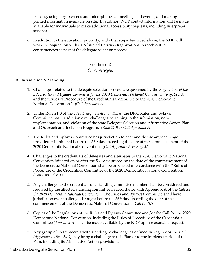parking, using large screens and microphones at meetings and events, and making printed information available on site. In addition, NDP contact information will be made available for individuals to make additional accessibility requests, including interpreter services.

6. In addition to the education, publicity, and other steps described above, the NDP will work in conjunction with its Affiliated Caucus Organizations to reach out to constituencies as part of the delegate selection process.

# Section IX **Challenges**

## **A. Jurisdiction & Standing**

- 1. Challenges related to the delegate selection process are governed by the *Regulations of the DNC Rules and Bylaws Committee for the 2020 Democratic National Convention (Reg. Sec. 3)*, and the "Rules of Procedure of the Credentials Committee of the 2020 Democratic National Convention." *(Call Appendix A)*
- 2. Under Rule 21.B of the *2020 Delegate Selection Rules*, the DNC Rules and Bylaws Committee has jurisdiction over challenges pertaining to the submission, nonimplementation, and violation of the state Delegate Selection and Affirmative Action Plan and Outreach and Inclusion Program. *(Rule 21.B & Call Appendix A)*
- 3. The Rules and Bylaws Committee has jurisdiction to hear and decide any challenge provided it is initiated before the 56th day preceding the date of the commencement of the 2020 Democratic National Convention. *(Call Appendix A & Reg. 3.1)*
- 4. Challenges to the credentials of delegates and alternates to the 2020 Democratic National Convention initiated on or after the 56<sup>th</sup> day preceding the date of the commencement of the Democratic National Convention shall be processed in accordance with the "Rules of Procedure of the Credentials Committee of the 2020 Democratic National Convention." *(Call Appendix A)*
- 5. Any challenge to the credentials of a standing committee member shall be considered and resolved by the affected standing committee in accordance with Appendix A of the *Call for the 2020 Democratic National Convention*. The Rules and Bylaws Committee shall have jurisdiction over challenges brought before the 56<sup>th</sup> day preceding the date of the commencement of the Democratic National Convention. *(CallVII.B.5)*
- 6. Copies of the Regulations of the Rules and Bylaws Committee and/or the Call for the 2020 Democratic National Convention, including the Rules of Procedure of the Credentials Committee *(Appendix A)*, shall be made available by the NDP upon reasonable request.
- 7. Any group of 15 Democrats with standing to challenge as defined in Reg. 3.2 or the Call *(Appendix A, Sec. 2.A)*, may bring a challenge to this Plan or to the implementation of this Plan, including its Affirmative Action provisions.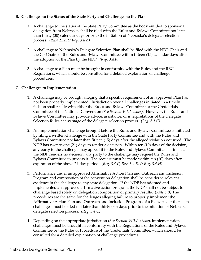#### **B. Challenges to the Status of the State Party and Challenges to the Plan**

- 1. A challenge to the status of the State Party Committee as the body entitled to sponsor a delegation from Nebraska shall be filed with the Rules and Bylaws Committee not later than thirty (30) calendar days prior to the initiation of Nebraska's delegate selection process. *(Rule 21.A & Reg. 3.4.A)*
- 2. A challenge to Nebraska's Delegate Selection Plan shall be filed with the NDP Chair and the Co-Chairs of the Rules and Bylaws Committee within fifteen (15) calendar days after the adoption of the Plan by the NDP. *(Reg. 3.4.B)*
- 3. A challenge to a Plan must be brought in conformity with the Rules and the RBC Regulations, which should be consulted for a detailed explanation of challenge procedures.

#### **C. Challenges to Implementation**

- 1. A challenge may be brought alleging that a specific requirement of an approved Plan has not been properly implemented. Jurisdiction over all challenges initiated in a timely fashion shall reside with either the Rules and Bylaws Committee or the Credentials Committee of the National Convention *(See Section VII.A above).* However, the Rules and Bylaws Committee may provide advice, assistance, or interpretations of the Delegate Selection Rules at any stage of the delegate selection process. *(Reg. 3.1.C)*
- 2. An implementation challenge brought before the Rules and Bylaws Committee is initiated by filing a written challenge with the State Party Committee and with the Rules and Bylaws Committee not later than fifteen (15) days after the alleged violation occurred. The NDP has twenty-one (21) days to render a decision. Within ten (10) days of the decision, any party to the challenge may appeal it to the Rules and Bylaws Committee. If in fact, the NDP renders no decision, any party to the challenge may request the Rules and Bylaws Committee to process it. The request must be made within ten (10) days after expiration of the above 21-day period. *(Reg. 3.4.C, Reg. 3.4.E, & Reg. 3.4.H)*
- 3. Performance under an approved Affirmative Action Plan and Outreach and Inclusion Program and composition of the convention delegation shall be considered relevant evidence in the challenge to any state delegation. If the NDP has adopted and implemented an approved affirmative action program, the NDP shall not be subject to challenge based solely on delegation composition or primary results. *(Rule 6.B)* The procedures are the same for challenges alleging failure to properly implement the Affirmative Action Plan and Outreach and Inclusion Programs of a Plan, except that such challenges must be filed not later than thirty (30) days prior to the initiation of Nebraska's delegate selection process. *(Reg. 3.4.C)*
- 4. Depending on the appropriate jurisdiction *(See Section VIII.A above)*, implementation challenges must be brought in conformity with the Regulations of the Rules and Bylaws Committee or the Rules of Procedure of the Credentials Committee, which should be consulted for a detailed explanation of challenge procedures.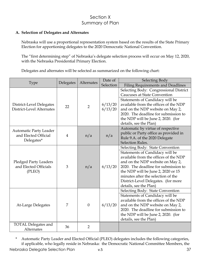# Section X Summary of Plan

#### **A. Selection of Delegates and Alternates**

Nebraska will use a proportional representation system based on the results of the State Primary Election for apportioning delegates to the 2020 Democratic National Convention.

The "first determining step" of Nebraska's delegate selection process will occur on May 12, 2020, with the Nebraska Presidential Primary Election.

Delegates and alternates will be selected as summarized on the following chart:

|                                                                     | Delegates | Alternates     | Date of            | Selecting Body                                                                                                                                                                                                                                                                                                                        |
|---------------------------------------------------------------------|-----------|----------------|--------------------|---------------------------------------------------------------------------------------------------------------------------------------------------------------------------------------------------------------------------------------------------------------------------------------------------------------------------------------|
| <b>Type</b>                                                         |           |                | Selection          | <b>Filing Requirements and Deadlines</b>                                                                                                                                                                                                                                                                                              |
| District-Level Delegates<br>District-Level Alternates               | 22        | $\overline{2}$ | 6/13/20<br>6/13/20 | Selecting Body: Congressional District<br><b>Caucuses at State Convention</b><br>Statements of Candidacy will be<br>available from the offices of the NDP<br>and on the NDP website on May 2,<br>2020. The deadline for submission to<br>the NDP will be June 2, 2020. (for<br>details, see the Plan)                                 |
| <b>Automatic Party Leader</b><br>and Elected Official<br>Delegates* | 4         | n/a            | n/a                | Automatic by virtue of respective<br>public or Party office as provided in<br>Rule 9.A. of the 2020 Delegate<br>Selection Rules.                                                                                                                                                                                                      |
| <b>Pledged Party Leaders</b><br>and Elected Officials<br>(PLEO)     | 3         | n/a            | 6/13/20            | Selecting Body: State Convention<br>Statements of Candidacy will be<br>available from the offices of the NDP<br>and on the NDP website on May 2,<br>2020. The deadline for submission to<br>the NDP will be June 2, 2020 or 15<br>minutes after the selection of the<br>District-Level Delegates. (for more<br>details, see the Plan) |
| At-Large Delegates                                                  | 7         | $\overline{0}$ | 6/13/20            | Selecting Body: State Convention<br>Statements of Candidacy will be<br>available from the offices of the NDP<br>and on the NDP website on May 2,<br>2020. The deadline for submission to<br>the NDP will be June 2, 2020. (for<br>details, see the Plan)                                                                              |
| <b>TOTAL Delegates and</b><br>Alternates                            | 36        | $\overline{2}$ |                    |                                                                                                                                                                                                                                                                                                                                       |

\* Automatic Party Leader and Elected Official (PLEO) delegates includes the following categories, if applicable, who legally reside in Nebraska: the Democratic National Committee Members, the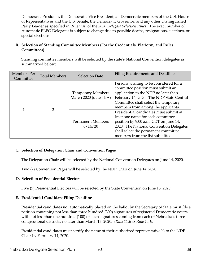Democratic President, the Democratic Vice President, all Democratic members of the U.S. House of Representatives and the U.S. Senate, the Democratic Governor, and any other Distinguished Party Leader as specified in Rule 9.A. of the *2020 Delegate Selection Rules*. The exact number of Automatic PLEO Delegates is subject to change due to possible deaths, resignations, elections, or special elections.

#### **B. Selection of Standing Committee Members (For the Credentials, Platform, and Rules Committees)**

Standing committee members will be selected by the state's National Convention delegates as summarized below:

| Members Per<br>Committee | <b>Total Members</b> | <b>Selection Date</b>                             | <b>Filing Requirements and Deadlines</b>                                                                                                                                                                                                      |
|--------------------------|----------------------|---------------------------------------------------|-----------------------------------------------------------------------------------------------------------------------------------------------------------------------------------------------------------------------------------------------|
|                          | 3                    | <b>Temporary Members</b><br>March 2020 (date TBA) | Persons wishing to be considered for a<br>committee position must submit an<br>application to the NDP no later than<br>February 14, 2020. The NDP State Central<br>Committee shall select the temporary<br>members from among the applicants. |
|                          |                      | <b>Permanent Members</b><br>6/14/20               | Presidential candidates must submit at<br>least one name for each committee<br>position by 9:00 a.m. CDT on June 14,<br>2020. The National Convention Delegates<br>shall select the permanent committee<br>members from the list submitted.   |

#### **C. Selection of Delegation Chair and Convention Pages**

The Delegation Chair will be selected by the National Convention Delegates on June 14, 2020.

Two (2) Convention Pages will be selected by the NDP Chair on June 14, 2020.

## **D. Selection of Presidential Electors**

Five (5) Presidential Electors will be selected by the State Convention on June 13, 2020.

#### **E. Presidential Candidate Filing Deadline**

Presidential candidates not automatically placed on the ballot by the Secretary of State must file a petition containing not less than three hundred (300) signatures of registered Democratic voters, with not less than one hundred (100) of such signatures coming from each of Nebraska's three congressional districts, no later than March 13, 2020. *(Rule 11.B & Rule 14.E)*

Presidential candidates must certify the name of their authorized representative(s) to the NDP Chair by February 14, 2020.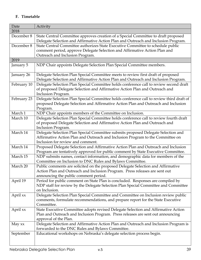## **F. Timetable**

| Date        | Activity                                                                                                                                                                                                 |
|-------------|----------------------------------------------------------------------------------------------------------------------------------------------------------------------------------------------------------|
| 2018        |                                                                                                                                                                                                          |
| December 8  | State Central Committee approves creation of a Special Committee to draft proposed<br>Delegate Selection and Affirmative Action Plan and Outreach and Inclusion Program.                                 |
| December 8  | State Central Committee authorizes State Executive Committee to schedule public                                                                                                                          |
|             | comment period, approve Delegate Selection and Affirmative Action Plan and                                                                                                                               |
|             | Outreach and Inclusion Program.                                                                                                                                                                          |
| 2019        |                                                                                                                                                                                                          |
| January 5   | NDP Chair appoints Delegate Selection Plan Special Committee members.                                                                                                                                    |
| January 26  | Delegate Selection Plan Special Committee meets to review first draft of proposed<br>Delegate Selection and Affirmative Action Plan and Outreach and Inclusion Program.                                  |
| February 10 | Delegate Selection Plan Special Committee holds conference call to review second draft<br>of proposed Delegate Selection and Affirmative Action Plan and Outreach and<br>Inclusion Program.              |
| February 23 | Delegate Selection Plan Special Committee holds conference call to review third draft of<br>proposed Delegate Selection and Affirmative Action Plan and Outreach and Inclusion<br>Program.               |
| March 1     | NDP Chair appoints members of the Committee on Inclusion.                                                                                                                                                |
| March 10    | Delegate Selection Plan Special Committee holds conference call to review fourth draft<br>of proposed Delegate Selection and Affirmative Action Plan and Outreach and                                    |
|             | Inclusion Program.                                                                                                                                                                                       |
| March 14    | Delegate Selection Plan Special Committee submits proposed Delegate Selection and<br>Affirmative Action Plan and Outreach and Inclusion Program to the Committee on<br>Inclusion for review and comment. |
| March 14    | Proposed Delegate Selection and Affirmative Action Plan and Outreach and Inclusion<br>Program are tentatively approved for public comment by State Executive Committee.                                  |
| March 15    | NDP submits names, contact information, and demographic data for members of the<br>Committee on Inclusion to DNC Rules and Bylaws Committee.                                                             |
| March 20    | Public comments are solicited on the proposed Delegate Selection and Affirmative<br>Action Plan and Outreach and Inclusion Program. Press releases are sent out<br>announcing the public comment period. |
| April 19    | Period for public comment on State Plan is concluded. Responses are compiled by<br>NDP staff for review by the Delegate Selection Plan Special Committee and Committee<br>on Inclusion.                  |
| April xx    | Delegate Selection Plan Special Committee and Committee on Inclusion review public<br>comments, formulate recommendations, and prepare report for the State Executive<br>Committee.                      |
| April xx    | State Executive Committee adopts revised Delegate Selection and Affirmative Action<br>Plan and Outreach and Inclusion Program. Press releases are sent out announcing<br>approval of the Plan.           |
| May xx      | Delegate Selection and Affirmative Action Plan and Outreach and Inclusion Program is<br>forwarded to the DNC Rules and Bylaws Committee.                                                                 |
| September   | Educational workshops on Nebraska's delegate selection process begin.                                                                                                                                    |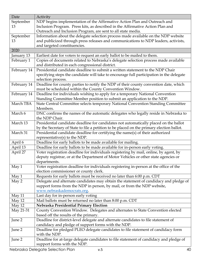| Date        | Activity                                                                                  |
|-------------|-------------------------------------------------------------------------------------------|
| September   | NDP begins implementation of the Affirmative Action Plan and Outreach and                 |
| 13          | Inclusion Program. Press kits, as described in the Affirmative Action Plan and            |
|             | Outreach and Inclusion Program, are sent to all state media.                              |
| September   | Information about the delegate selection process made available on the NDP website        |
| 13          | and publicized through press releases and communications to NDP leaders, activists,       |
|             | and targeted constituencies.                                                              |
| 2020        |                                                                                           |
| January 13  | Earliest date for voters to request an early ballot to be mailed to them.                 |
| February 1  | Copies of documents related to Nebraska's delegate selection process made available       |
|             | and distributed in each congressional district.                                           |
| February 14 | Presidential candidate deadline to submit a written statement to the NDP Chair            |
|             | specifying steps the candidate will take to encourage full participation in the delegate  |
|             | selection process.                                                                        |
| February 14 | Deadline for county parties to notify the NDP of their county convention date, which      |
|             | must be scheduled within the County Convention Window.                                    |
| February 14 | Deadline for individuals wishing to apply for a temporary National Convention             |
|             | Standing Committee Member position to submit an application to the NDP.                   |
| March TBA   | State Central Committee selects temporary National Convention Standing Committee          |
|             | Members.                                                                                  |
| March 6     | DNC confirms the names of the automatic delegates who legally reside in Nebraska to       |
|             | the NDP Chair.                                                                            |
| March 13    | Presidential candidate deadline for candidates not automatically placed on the ballot     |
|             | by the Secretary of State to file a petition to be placed on the primary election ballot. |
| March 31    | Presidential candidate deadline for certifying the name(s) of their authorized            |
|             | representative(s) to the NDP.                                                             |
| April 6     | Deadline for early ballots to be made available for mailing.                              |
| April 13    | Deadline for early ballots to be made available for in-person early voting.               |
| April 27    | Voter registration deadline for individuals registering by mail, online, by agent, by     |
|             | deputy registrar, or at the Department of Motor Vehicles or other state agencies or       |
|             | departments.                                                                              |
| May 1       | Voter registration deadline for individuals registering in-person at the office of the    |
|             | election commissioner or county clerk.                                                    |
| May 1       | Requests for early ballots must be received no later than 6:00 p.m. CDT                   |
| May 2       | Delegate and alternate candidates may obtain the statement of candidacy and pledge of     |
|             | support forms from the NDP in person, by mail, or from the NDP website,                   |
|             | www.nebraskademocrats.org.                                                                |
| May 11      | Last day for in-person early voting                                                       |
| May 12      | Mail ballots must be returned no later than 8:00 p.m. CDT                                 |
| May 12      | Nebraska Presidential Primary Election                                                    |
| May 21-31   | County Convention Window. Delegates and alternates to State Convention elected            |
|             | based off the results of the primary.                                                     |
| June 2      | Deadline for district-level delegate and alternate candidates to file statement of        |
|             | candidacy and pledge of support forms with the NDP.                                       |
| June 2      | Deadline for pledged PLEO delegate candidates to file statement of candidacy form         |
|             | with the NDP.                                                                             |
| June 2      | Deadline for at-large delegate candidates to file statement of candidacy and pledge of    |
|             | support forms with the NDP.                                                               |